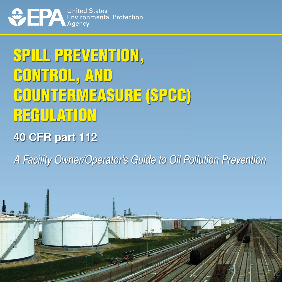

# SPILL PREVENTION, CONTROL, AND COUNTERMEASURE (SPCC) REGULATION

# **40 CFR part 112**

A Facility Owner/Operator's Guide to Oil Pollution Prevention

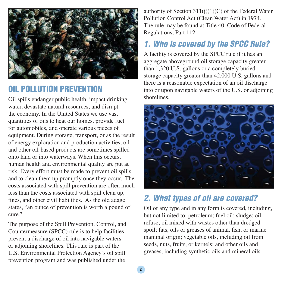

#### OIL POLLUTION PREVENTION

Oil spills endanger public health, impact drinking water, devastate natural resources, and disrupt the economy. In the United States we use vast quantities of oils to heat our homes, provide fuel for automobiles, and operate various pieces of equipment. During storage, transport, or as the result of energy exploration and production activities, oil and other oil-based products are sometimes spilled onto land or into waterways. When this occurs, human health and environmental quality are put at risk. Every effort must be made to prevent oil spills and to clean them up promptly once they occur. The costs associated with spill prevention are often much less than the costs associated with spill clean up, fines, and other civil liabilities. As the old adage states, "an ounce of prevention is worth a pound of cure."

The purpose of the Spill Prevention, Control, and Countermeasure (SPCC) rule is to help facilities prevent a discharge of oil into navigable waters or adjoining shorelines. This rule is part of the U.S. Environmental Protection Agency's oil spill prevention program and was published under the

authority of Section  $311(j)(1)(C)$  of the Federal Water Pollution Control Act (Clean Water Act) in 1974. The rule may be found at Title 40, Code of Federal Regulations, Part 112.

### 1. Who is covered by the SPCC Rule?

A facility is covered by the SPCC rule if it has an aggregate aboveground oil storage capacity greater than 1,320 U.S. gallons or a completely buried storage capacity greater than 42,000 U.S. gallons and there is a reasonable expectation of an oil discharge into or upon navigable waters of the U.S. or adjoining shorelines.



### 2. What types of oil are covered?

Oil of any type and in any form is covered, including, but not limited to: petroleum; fuel oil; sludge; oil refuse; oil mixed with wastes other than dredged spoil; fats, oils or greases of animal, fish, or marine mammal origin; vegetable oils, including oil from seeds, nuts, fruits, or kernels; and other oils and greases, including synthetic oils and mineral oils.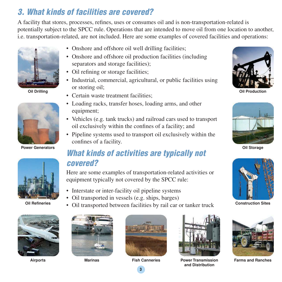## 3. What kinds of facilities are covered?

A facility that stores, processes, refines, uses or consumes oil and is non-transportation-related is potentially subject to the SPCC rule. Operations that are intended to move oil from one location to another, i.e. transportation-related, are not included. Here are some examples of covered facilities and operations:



**Oil Drilling** 



**Power Generators** 



**Oil Refineries** 



- Onshore and offshore oil well drilling facilities;
- Onshore and offshore oil production facilities (including separators and storage facilities);
- Oil refining or storage facilities;
- Industrial, commercial, agricultural, or public facilities using or storing oil;
- Certain waste treatment facilities:
- Loading racks, transfer hoses, loading arms, and other equipment;
- Vehicles (e.g. tank trucks) and railroad cars used to transport oil exclusively within the confines of a facility; and
- Pipeline systems used to transport oil exclusively within the confines of a facility.

#### What kinds of activities are typically not covered?

Here are some examples of transportation-related activities or equipment typically not covered by the SPCC rule:

- Interstate or inter-facility oil pipeline systems
- Oil transported in vessels (e.g. ships, barges)
- Oil transported between facilities by rail car or tanker truck







**and Distribution** 



**Oil Production** 



**Oil Storage** 



**Construction Sites** 



**Airports Marinas Fish Canneries Power Transmission Farms and Ranches** 



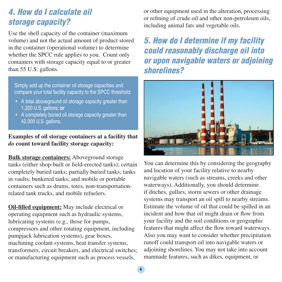#### 4. How do I calculate oil storage capacity?

Use the shell capacity of the container (maximum volume) and not the actual amount of product stored in the container (operational volume) to determine whether the SPCC rule applies to you. Count only containers with storage capacity equal to or greater than 55 U.S. gallons.

Simply add up the container oil storage capacities and compare your total facility capacity to the SPCC threshold:

- A total aboveground oil storage capacity greater than 1,320 U.S. gallons; **or**
- A completely buried oil storage capacity greater than 42,000 U.S. gallons.

#### **Examples of oil storage containers at a facility that**  *do* **count toward facility storage capacity:**

**Bulk storage containers:** Aboveground storage tanks (either shop-built or field-erected tanks); certain completely buried tanks; partially buried tanks; tanks in vaults; bunkered tanks; and mobile or portable containers such as drums, totes, non-transportationrelated tank trucks, and mobile refuelers.

**Oil-filled equipment:** May include electrical or operating equipment such as hydraulic systems, lubricating systems (e.g., those for pumps, compressors and other rotating equipment, including pumpjack lubrication systems), gear boxes, machining coolant systems, heat transfer systems, transformers, circuit breakers, and electrical switches; or manufacturing equipment such as process vessels,

or other equipment used in the alteration, processing or refining of crude oil and other non-petroleum oils, including animal fats and vegetable oils.

### 5. How do I determine if my facility could reasonably discharge oil into or upon navigable waters or adjoining shorelines?



 features that might affect the flow toward waterways. You can determine this by considering the geography and location of your facility relative to nearby navigable waters (such as streams, creeks and other waterways). Additionally, you should determine if ditches, gullies, storm sewers or other drainage systems may transport an oil spill to nearby streams. Estimate the volume of oil that could be spilled in an incident and how that oil might drain or flow from your facility and the soil conditions or geographic Also you may want to consider whether precipitation runoff could transport oil into navigable waters or adjoining shorelines. You may not take into account manmade features, such as dikes, equipment, or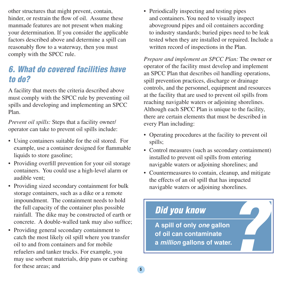other structures that might prevent, contain, hinder, or restrain the flow of oil. Assume these manmade features are not present when making your determination. If you consider the applicable factors described above and determine a spill can reasonably flow to a waterway, then you must comply with the SPCC rule.

### 6. What do covered facilities have to do?

A facility that meets the criteria described above must comply with the SPCC rule by preventing oil spills and developing and implementing an SPCC Plan.

*Prevent oil spills:* Steps that a facility owner/ operator can take to prevent oil spills include:

- Using containers suitable for the oil stored. For example, use a container designed for flammable liquids to store gasoline;
- Providing overfill prevention for your oil storage containers. You could use a high-level alarm or audible vent;
- Providing sized secondary containment for bulk storage containers, such as a dike or a remote impoundment. The containment needs to hold the full capacity of the container plus possible rainfall. The dike may be constructed of earth or concrete. A double-walled tank may also suffice;
- Providing general secondary containment to catch the most likely oil spill where you transfer oil to and from containers and for mobile refuelers and tanker trucks. For example, you may use sorbent materials, drip pans or curbing for these areas; and

• Periodically inspecting and testing pipes and containers. You need to visually inspect aboveground pipes and oil containers according to industry standards; buried pipes need to be leak tested when they are installed or repaired. Include a written record of inspections in the Plan.

*Prepare and implement an SPCC Plan:* The owner or operator of the facility must develop and implement an SPCC Plan that describes oil handling operations, spill prevention practices, discharge or drainage controls, and the personnel, equipment and resources at the facility that are used to prevent oil spills from reaching navigable waters or adjoining shorelines. Although each SPCC Plan is unique to the facility, there are certain elements that must be described in every Plan including:

- Operating procedures at the facility to prevent oil spills;
- Control measures (such as secondary containment) installed to prevent oil spills from entering navigable waters or adjoining shorelines; and
- Countermeasures to contain, cleanup, and mitigate the effects of an oil spill that has impacted navigable waters or adjoining shorelines.

# ? Did you know **A spill of only one gallon of oil can contaminate a million gallons of water.**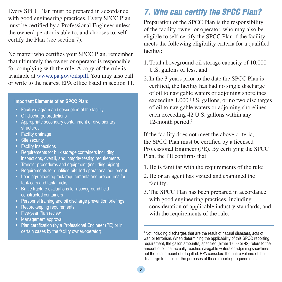Every SPCC Plan must be prepared in accordance with good engineering practices. Every SPCC Plan must be certified by a Professional Engineer unless the owner/operator is able to, and chooses to, selfcertify the Plan (see section 7).

No matter who certifies your SPCC Plan, remember that ultimately the owner or operator is responsible for complying with the rule. A copy of the rule is available at www.epa.gov/oilspill. You may also call or write to the nearest EPA office listed in section 11.

#### **Important Elements of an SPCC Plan:**

- Facility diagram and description of the facility
- Oil discharge predictions
- Appropriate secondary containment or diversionary structures
- Facility drainage
- Site security
- Facility inspections
- Requirements for bulk storage containers including inspections, overfill, and integrity testing requirements
- Transfer procedures and equipment (including piping)
- Requirements for qualified oil-filled operational equipment
- Loading/unloading rack requirements and procedures for tank cars and tank trucks
- Brittle fracture evaluations for aboveground field constructed containers
- Personnel training and oil discharge prevention briefings
- Recordkeeping requirements
- Five-year Plan review
- Management approval
- Plan certification (by a Professional Engineer (PE) or in certain cases by the facility owner/operator)

#### 7. Who can certify the SPCC Plan?

Preparation of the SPCC Plan is the responsibility of the facility owner or operator, who may also be eligible to self-certify the SPCC Plan if the facility meets the following eligibility criteria for a qualified facility:

- 1. Total aboveground oil storage capacity of 10,000 U.S. gallons or less, and
- 2. In the 3 years prior to the date the SPCC Plan is certified, the facility has had no single discharge of oil to navigable waters or adjoining shorelines exceeding 1,000 U.S. gallons, or no two discharges of oil to navigable waters or adjoining shorelines each exceeding 42 U.S. gallons within any 12-month period.<sup>1</sup>

If the facility does not meet the above criteria, the SPCC Plan must be certified by a licensed Professional Engineer (PE). By certifying the SPCC Plan, the PE confirms that:

- 1. He is familiar with the requirements of the rule;
- 2. He or an agent has visited and examined the facility;
- 3. The SPCC Plan has been prepared in accordance with good engineering practices, including consideration of applicable industry standards, and with the requirements of the rule;

<sup>1</sup> Not including discharges that are the result of natural disasters, acts of war, or terrorism. When determining the applicability of this SPCC reporting requirement, the gallon amount(s) specified (either 1,000 or 42) refers to the amount of oil that actually reaches navigable waters or adjoining shorelines not the total amount of oil spilled. EPA considers the entire volume of the discharge to be oil for the purposes of these reporting requirements.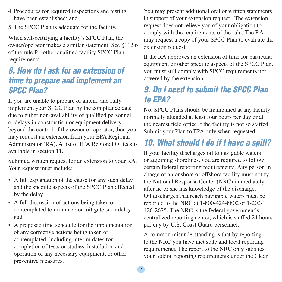- 4. Procedures for required inspections and testing have been established; and
- 5. The SPCC Plan is adequate for the facility.

When self-certifying a facility's SPCC Plan, the owner/operator makes a similar statement. See §112.6 of the rule for other qualified facility SPCC Plan requirements.

### 8. How do I ask for an extension of time to prepare and implement an SPCC Plan?

If you are unable to prepare or amend and fully implement your SPCC Plan by the compliance date due to either non-availability of qualified personnel, or delays in construction or equipment delivery beyond the control of the owner or operator, then you may request an extension from your EPA Regional Administrator (RA). A list of EPA Regional Offices is available in section 11.

Submit a written request for an extension to your RA. Your request must include:

- A full explanation of the cause for any such delay and the specific aspects of the SPCC Plan affected by the delay;
- A full discussion of actions being taken or contemplated to minimize or mitigate such delay; and
- A proposed time schedule for the implementation of any corrective actions being taken or contemplated, including interim dates for completion of tests or studies, installation and operation of any necessary equipment, or other preventive measures.

You may present additional oral or written statements in support of your extension request. The extension request does not relieve you of your obligation to comply with the requirements of the rule. The RA may request a copy of your SPCC Plan to evaluate the extension request.

If the RA approves an extension of time for particular equipment or other specific aspects of the SPCC Plan, you must still comply with SPCC requirements not covered by the extension.

## 9. Do I need to submit the SPCC Plan to EPA?

No, SPCC Plans should be maintained at any facility normally attended at least four hours per day or at the nearest field office if the facility is not so staffed. Submit your Plan to EPA only when requested.

## 10. What should I do if I have a spill?

If your facility discharges oil to navigable waters or adjoining shorelines, you are required to follow certain federal reporting requirements. Any person in charge of an onshore or offshore facility must notify the National Response Center (NRC) immediately after he or she has knowledge of the discharge. Oil discharges that reach navigable waters must be reported to the NRC at 1-800-424-8802 or 1-202- 426-2675. The NRC is the federal government's centralized reporting center, which is staffed 24 hours per day by U.S. Coast Guard personnel.

A common misunderstanding is that by reporting to the NRC you have met state and local reporting requirements. The report to the NRC only satisfies your federal reporting requirements under the Clean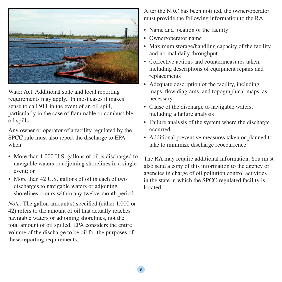

Water Act. Additional state and local reporting requirements may apply. In most cases it makes sense to call 911 in the event of an oil spill, particularly in the case of flammable or combustible oil spills

Any owner or operator of a facility regulated by the SPCC rule must also report the discharge to EPA when:

- More than 1,000 U.S. gallons of oil is discharged to navigable waters or adjoining shorelines in a single event; or
- More than 42 U.S. gallons of oil in each of two discharges to navigable waters or adjoining shorelines occurs within any twelve-month period.

*Note:* The gallon amount(s) specified (either 1,000 or 42) refers to the amount of oil that actually reaches navigable waters or adjoining shorelines, not the total amount of oil spilled. EPA considers the entire volume of the discharge to be oil for the purposes of these reporting requirements.

After the NRC has been notified, the owner/operator must provide the following information to the RA:

- Name and location of the facility
- Owner/operator name
- Maximum storage/handling capacity of the facility and normal daily throughput
- Corrective actions and countermeasures taken, including descriptions of equipment repairs and replacements
- Adequate description of the facility, including maps, flow diagrams, and topographical maps, as necessary
- Cause of the discharge to navigable waters, including a failure analysis
- Failure analysis of the system where the discharge occurred
- Additional preventive measures taken or planned to take to minimize discharge reoccurrence

The RA may require additional information. You must also send a copy of this information to the agency or agencies in charge of oil pollution control activities in the state in which the SPCC-regulated facility is located.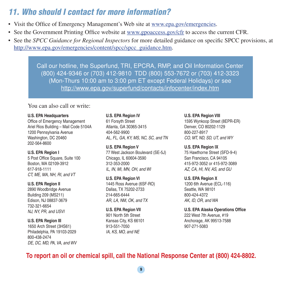#### 11. Who should I contact for more information?

- Visit the Office of Emergency Management's Web site at www.epa.gov/emergencies.
- See the Government Printing Office website at www.gpoaccess.gov/cfr to access the current CFR.
- See the *SPCC Guidance for Regional Inspectors* for more detailed guidance on specific SPCC provisions, at http://www.epa.gov/emergencies/content/spcc/spcc\_guidance.htm.

Call our hotline, the Superfund, TRI, EPCRA, RMP, and Oil Information Center (800) 424-9346 or (703) 412-9810 TDD (800) 553-7672 or (703) 412-3323 (Mon-Thurs 10:00 am to 3:00 pm ET except Federal Holidays) or see http://www.epa.gov/superfund/contacts/infocenter/index.htm

You can also call or write:

#### **U.S. EPA Headquarters U.S. EPA Region IV U.S. EPA Region VIII**

Office of Emergency Management 61 Forsyth Street 1595 Wynkoop Street (8EPR-ER) Ariel Rios Building – Mail Code 5104A Atlanta, GA 30365-3415 Denver, CO 80202-1129 1200 Pennsylvania Avenue 404-562-9900 800-227-8917 Washington, DC 20460 AL, FL, GA, KY, MS, NC, SC, and TN CO, MT, ND, SD, UT, and WY 202-564-8600

CT, ME, MA, NH, RI, and VT

732-321-6654 NJ, NY, PR, and USVI **U.S. EPA Region VII** 

1650 Arch Street (3HS61) 913-551-7050 907-271-5083 Philadelphia, PA 19103-2029 IA, KS, MO, and NE 800-438-2474 DE, DC, MD, PA, VA, and WV

**U.S. EPA Region V U.S. EPA Region IX U.S. EPA Region I** 77 West Jackson Boulevard (SE-5J) 75 Hawthorne Street (SFD-9-4) 5 Post Office Square, Suite 100 Chicago, IL 60604-3590 San Francisco, CA 94105 Boston, MA 02109-3912 312-353-2000 415-972-3052 or 415-972-3089 617-918-1111 **IL, IN, MI, MI, MN, OH, and WI** AZ, CA, HI, NV, AS, and GU

U.S. EPA Region VI **U.S. EPA Region X U.S. EPA Region II** 1445 Ross Avenue (6SF-RO) 1200 6th Avenue (ECL-116) 2890 Woodbridge Avenue Dallas, TX 75202-2733 Seattle, WA 98101 Building 209 (MS211) 214-665-6444 800-424-4372 Edison, NJ 08837-3679 AR, LA, NM, OK, and TX AK, ID, OR, and WA

901 North 5th Street

**U.S. EPA Alaska Operations Office** 222 West 7th Avenue, #19 **U.S. EPA Region III Constant Constant Constant Constant Constant Constant Constant Constant Constant Constant Constant Constant Constant Constant Constant Constant Constant Constant Constant Constant Constant Constant C** 

#### **To report an oil or chemical spill, call the National Response Center at (800) 424-8802.**